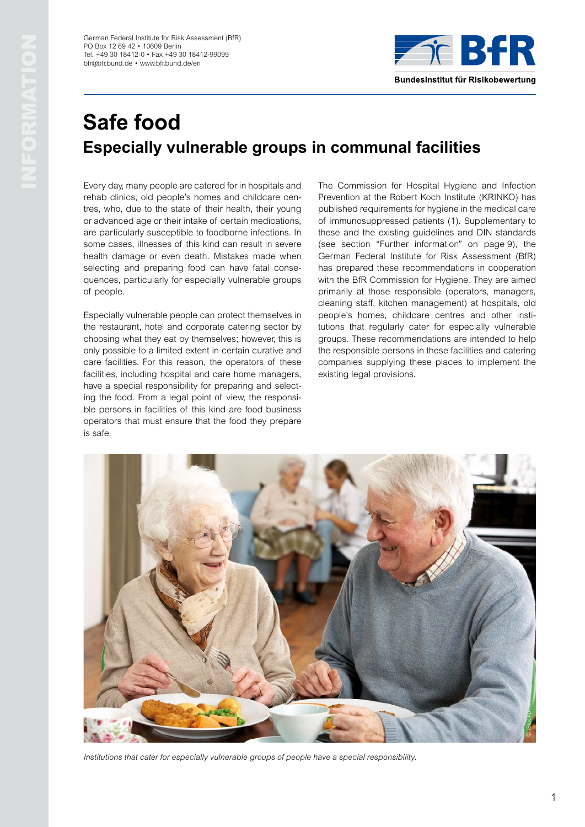German Federal Institute for Risk Assessment (BfR) PO Box 12 69 42 • 10609 Berlin Tel. +49 30 18412-0 • Fax +49 30 18412-99099 [bfr@bfr.bund.de](mailto:bfr%40bfr.bund.de?subject=) • [www.bfr.bund.de/en](http://www.bfr.bund.de/en)



# **Safe food Especially vulnerable groups in communal facilities**

Every day, many people are catered for in hospitals and rehab clinics, old people's homes and childcare centres, who, due to the state of their health, their young or advanced age or their intake of certain medications, are particularly susceptible to foodborne infections. In some cases, illnesses of this kind can result in severe health damage or even death. Mistakes made when selecting and preparing food can have fatal consequences, particularly for especially vulnerable groups of people.

Especially vulnerable people can protect themselves in the restaurant, hotel and corporate catering sector by choosing what they eat by themselves; however, this is only possible to a limited extent in certain curative and care facilities. For this reason, the operators of these facilities, including hospital and care home managers, have a special responsibility for preparing and selecting the food. From a legal point of view, the responsible persons in facilities of this kind are food business operators that must ensure that the food they prepare is safe.

The Commission for Hospital Hygiene and Infection Prevention at the Robert Koch Institute (KRINKO) has published requirements for hygiene in the medical care of immunosuppressed patients (1). Supplementary to these and the existing guidelines and DIN standards (see section "Further information" on page 9), the German Federal Institute for Risk Assessment (BfR) has prepared these recommendations in cooperation with the BfR Commission for Hygiene. They are aimed primarily at those responsible (operators, managers, cleaning staff, kitchen management) at hospitals, old people's homes, childcare centres and other institutions that regularly cater for especially vulnerable groups. These recommendations are intended to help the responsible persons in these facilities and catering companies supplying these places to implement the existing legal provisions.



*Institutions that cater for especially vulnerable groups of people have a special responsibility.*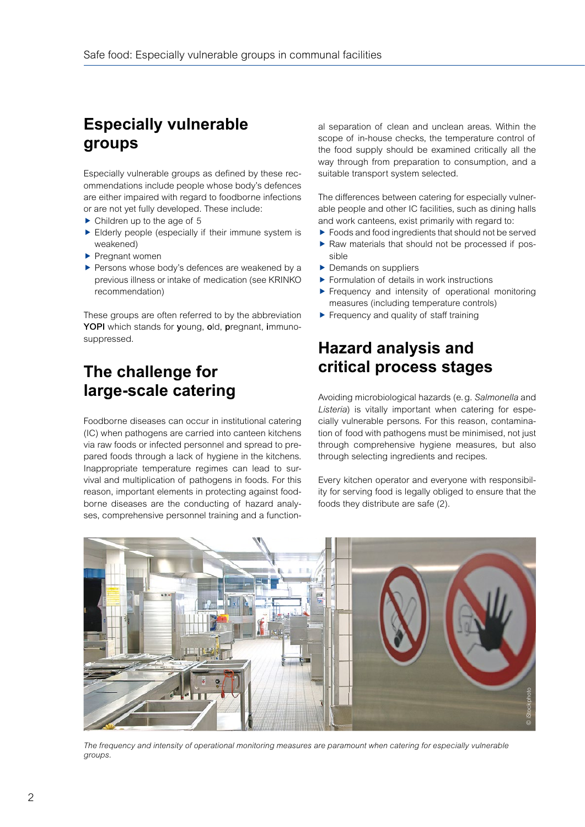## **Especially vulnerable groups**

Especially vulnerable groups as defined by these recommendations include people whose body's defences are either impaired with regard to foodborne infections or are not yet fully developed. These include:

- $\blacktriangleright$  Children up to the age of 5
- $\blacktriangleright$  Elderly people (especially if their immune system is weakened)
- $\blacktriangleright$  Pregnant women
- $\blacktriangleright$  Persons whose body's defences are weakened by a previous illness or intake of medication (see KRINKO recommendation)

These groups are often referred to by the abbreviation YOPI which stands for young, old, pregnant, immunosuppressed.

## **The challenge for large-scale catering**

Foodborne diseases can occur in institutional catering (IC) when pathogens are carried into canteen kitchens via raw foods or infected personnel and spread to prepared foods through a lack of hygiene in the kitchens. Inappropriate temperature regimes can lead to survival and multiplication of pathogens in foods. For this reason, important elements in protecting against foodborne diseases are the conducting of hazard analyses, comprehensive personnel training and a functional separation of clean and unclean areas. Within the scope of in-house checks, the temperature control of the food supply should be examined critically all the way through from preparation to consumption, and a suitable transport system selected.

The differences between catering for especially vulnerable people and other IC facilities, such as dining halls and work canteens, exist primarily with regard to:

- $\blacktriangleright$  Foods and food ingredients that should not be served
- $\blacktriangleright$  Raw materials that should not be processed if possible
- $\blacktriangleright$  Demands on suppliers
- $\blacktriangleright$  Formulation of details in work instructions
- $\blacktriangleright$  Frequency and intensity of operational monitoring measures (including temperature controls)
- $\blacktriangleright$  Frequency and quality of staff training

## **Hazard analysis and critical process stages**

Avoiding microbiological hazards (e.g. *Salmonella* and *Listeria*) is vitally important when catering for especially vulnerable persons. For this reason, contamination of food with pathogens must be minimised, not just through comprehensive hygiene measures, but also through selecting ingredients and recipes.

Every kitchen operator and everyone with responsibility for serving food is legally obliged to ensure that the foods they distribute are safe (2).



The frequency and intensity of operational monitoring measures are paramount when catering for especially vulnerable *groups.*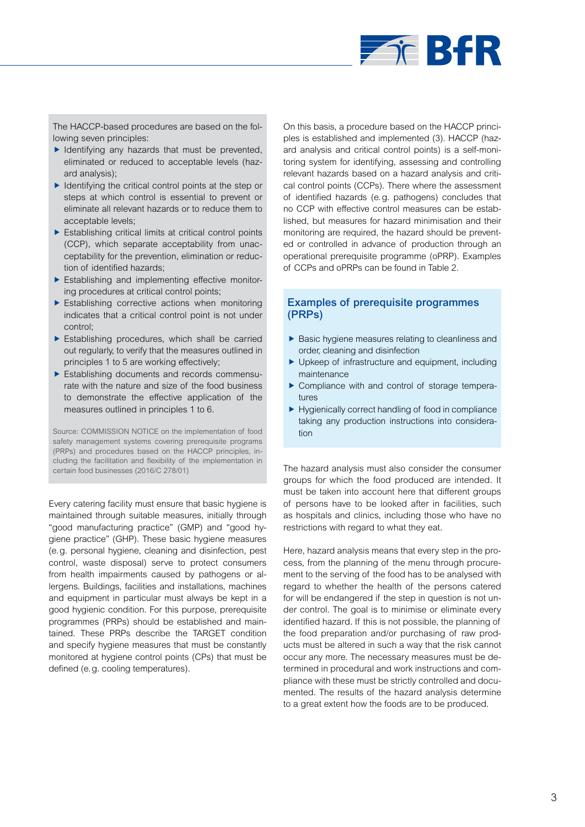

The HACCP-based procedures are based on the following seven principles:

- $\blacktriangleright$  Identifying any hazards that must be prevented, eliminated or reduced to acceptable levels (hazard analysis);
- $\blacktriangleright$  Identifying the critical control points at the step or steps at which control is essential to prevent or eliminate all relevant hazards or to reduce them to acceptable levels;
- $\blacktriangleright$  Establishing critical limits at critical control points (CCP), which separate acceptability from unacceptability for the prevention, elimination or reduction of identified hazards;
- $\blacktriangleright$  Establishing and implementing effective monitoring procedures at critical control points;
- $\blacktriangleright$  Establishing corrective actions when monitoring indicates that a critical control point is not under control;
- $\blacktriangleright$  Establishing procedures, which shall be carried out regularly, to verify that the measures outlined in principles 1 to 5 are working effectively;
- $\blacktriangleright$  Establishing documents and records commensurate with the nature and size of the food business to demonstrate the effective application of the measures outlined in principles 1 to 6.

Source: COMMISSION NOTICE on the implementation of food safety management systems covering prerequisite programs (PRPs) and procedures based on the HACCP principles, including the facilitation and flexibility of the implementation in certain food businesses (2016/C 278/01)

Every catering facility must ensure that basic hygiene is maintained through suitable measures, initially through "good manufacturing practice" (GMP) and "good hygiene practice" (GHP). These basic hygiene measures (e.g. personal hygiene, cleaning and disinfection, pest control, waste disposal) serve to protect consumers from health impairments caused by pathogens or allergens. Buildings, facilities and installations, machines and equipment in particular must always be kept in a good hygienic condition. For this purpose, prerequisite programmes (PRPs) should be established and maintained. These PRPs describe the TARGET condition and specify hygiene measures that must be constantly monitored at hygiene control points (CPs) that must be defined (e.g. cooling temperatures).

On this basis, a procedure based on the HACCP principles is established and implemented (3). HACCP (hazard analysis and critical control points) is a self-monitoring system for identifying, assessing and controlling relevant hazards based on a hazard analysis and critical control points (CCPs). There where the assessment of identified hazards (e.g. pathogens) concludes that no CCP with effective control measures can be established, but measures for hazard minimisation and their monitoring are required, the hazard should be prevented or controlled in advance of production through an operational prerequisite programme (oPRP). Examples of CCPs and oPRPs can be found in Table 2.

## Examples of prerequisite programmes (PRPs)

- $\blacktriangleright$  Basic hygiene measures relating to cleanliness and order, cleaning and disinfection
- $\blacktriangleright$  Upkeep of infrastructure and equipment, including maintenance
- $\triangleright$  Compliance with and control of storage temperatures
- $\blacktriangleright$  Hygienically correct handling of food in compliance taking any production instructions into consideration

The hazard analysis must also consider the consumer groups for which the food produced are intended. It must be taken into account here that different groups of persons have to be looked after in facilities, such as hospitals and clinics, including those who have no restrictions with regard to what they eat.

Here, hazard analysis means that every step in the process, from the planning of the menu through procurement to the serving of the food has to be analysed with regard to whether the health of the persons catered for will be endangered if the step in question is not under control. The goal is to minimise or eliminate every identified hazard. If this is not possible, the planning of the food preparation and/or purchasing of raw products must be altered in such a way that the risk cannot occur any more. The necessary measures must be determined in procedural and work instructions and compliance with these must be strictly controlled and documented. The results of the hazard analysis determine to a great extent how the foods are to be produced.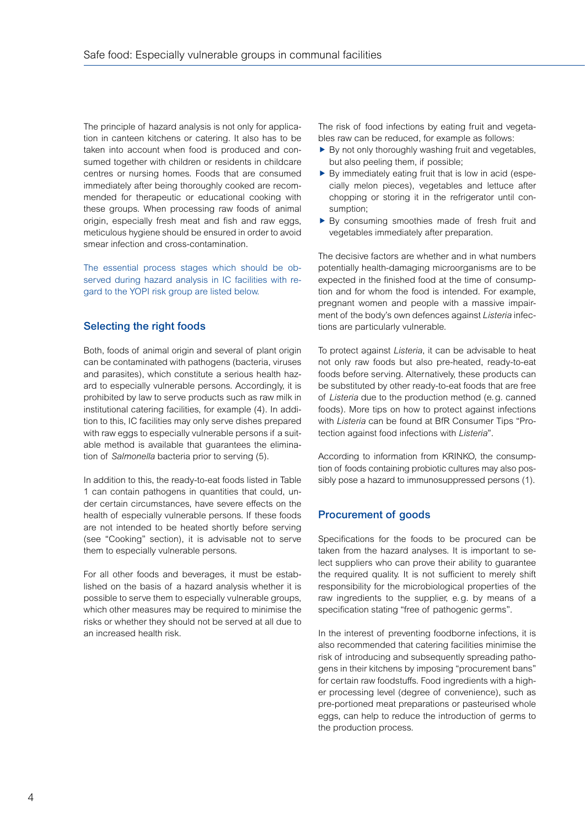The principle of hazard analysis is not only for application in canteen kitchens or catering. It also has to be taken into account when food is produced and consumed together with children or residents in childcare centres or nursing homes. Foods that are consumed immediately after being thoroughly cooked are recommended for therapeutic or educational cooking with these groups. When processing raw foods of animal origin, especially fresh meat and fish and raw eggs, meticulous hygiene should be ensured in order to avoid smear infection and cross-contamination.

The essential process stages which should be observed during hazard analysis in IC facilities with regard to the YOPI risk group are listed below.

## Selecting the right foods

Both, foods of animal origin and several of plant origin can be contaminated with pathogens (bacteria, viruses and parasites), which constitute a serious health hazard to especially vulnerable persons. Accordingly, it is prohibited by law to serve products such as raw milk in institutional catering facilities, for example (4). In addition to this, IC facilities may only serve dishes prepared with raw eggs to especially vulnerable persons if a suitable method is available that guarantees the elimination of *Salmonella* bacteria prior to serving (5).

In addition to this, the ready-to-eat foods listed in Table 1 can contain pathogens in quantities that could, under certain circumstances, have severe effects on the health of especially vulnerable persons. If these foods are not intended to be heated shortly before serving (see "Cooking" section), it is advisable not to serve them to especially vulnerable persons.

For all other foods and beverages, it must be established on the basis of a hazard analysis whether it is possible to serve them to especially vulnerable groups, which other measures may be required to minimise the risks or whether they should not be served at all due to an increased health risk.

The risk of food infections by eating fruit and vegetables raw can be reduced, for example as follows:

- $\blacktriangleright$  By not only thoroughly washing fruit and vegetables, but also peeling them, if possible;
- $\blacktriangleright$  By immediately eating fruit that is low in acid (especially melon pieces), vegetables and lettuce after chopping or storing it in the refrigerator until consumption;
- $\blacktriangleright$  By consuming smoothies made of fresh fruit and vegetables immediately after preparation.

The decisive factors are whether and in what numbers potentially health-damaging microorganisms are to be expected in the finished food at the time of consumption and for whom the food is intended. For example, pregnant women and people with a massive impairment of the body's own defences against *Listeria* infections are particularly vulnerable.

To protect against *Listeria*, it can be advisable to heat not only raw foods but also pre-heated, ready-to-eat foods before serving. Alternatively, these products can be substituted by other ready-to-eat foods that are free of *Listeria* due to the production method (e.g. canned foods). More tips on how to protect against infections with *Listeria* can be found at BfR Consumer Tips "Protection against food infections with *Listeria*".

According to information from KRINKO, the consumption of foods containing probiotic cultures may also possibly pose a hazard to immunosuppressed persons (1).

### Procurement of goods

Specifications for the foods to be procured can be taken from the hazard analyses. It is important to select suppliers who can prove their ability to guarantee the required quality. It is not sufficient to merely shift responsibility for the microbiological properties of the raw ingredients to the supplier, e.g. by means of a specification stating "free of pathogenic germs".

In the interest of preventing foodborne infections, it is also recommended that catering facilities minimise the risk of introducing and subsequently spreading pathogens in their kitchens by imposing "procurement bans" for certain raw foodstuffs. Food ingredients with a higher processing level (degree of convenience), such as pre-portioned meat preparations or pasteurised whole eggs, can help to reduce the introduction of germs to the production process.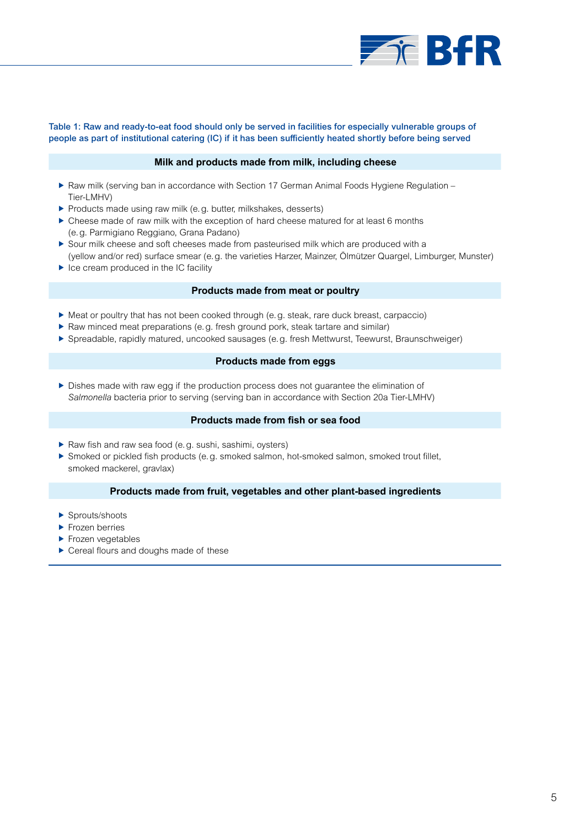

#### Table 1: Raw and ready-to-eat food should only be served in facilities for especially vulnerable groups of people as part of institutional catering (IC) if it has been sufficiently heated shortly before being served

#### **Milk and products made from milk, including cheese**

- ▶ Raw milk (serving ban in accordance with Section 17 German Animal Foods Hygiene Regulation Tier-LMHV)
- **Products made using raw milk (e.g. butter, milkshakes, desserts)**
- $\triangleright$  Cheese made of raw milk with the exception of hard cheese matured for at least 6 months (e.g. Parmigiano Reggiano, Grana Padano)
- $\triangleright$  Sour milk cheese and soft cheeses made from pasteurised milk which are produced with a (yellow and/or red) surface smear (e.g. the varieties Harzer, Mainzer, Ölmützer Quargel, Limburger, Munster)
- $\blacktriangleright$  Ice cream produced in the IC facility

#### **Products made from meat or poultry**

- $\blacktriangleright$  Meat or poultry that has not been cooked through (e.g. steak, rare duck breast, carpaccio)
- $\blacktriangleright$  Raw minced meat preparations (e.g. fresh ground pork, steak tartare and similar)
- f Spreadable, rapidly matured, uncooked sausages (e.g. fresh Mettwurst, Teewurst, Braunschweiger)

#### **Products made from eggs**

 $\triangleright$  Dishes made with raw egg if the production process does not guarantee the elimination of *Salmonella* bacteria prior to serving (serving ban in accordance with Section 20a Tier-LMHV)

#### **Products made from fish or sea food**

- Raw fish and raw sea food (e.g. sushi, sashimi, oysters)
- $\blacktriangleright$  Smoked or pickled fish products (e.g. smoked salmon, hot-smoked salmon, smoked trout fillet, smoked mackerel, gravlax)

#### **Products made from fruit, vegetables and other plant-based ingredients**

- $\blacktriangleright$  Sprouts/shoots
- $\blacktriangleright$  Frozen berries
- $\blacktriangleright$  Frozen vegetables
- $\blacktriangleright$  Cereal flours and doughs made of these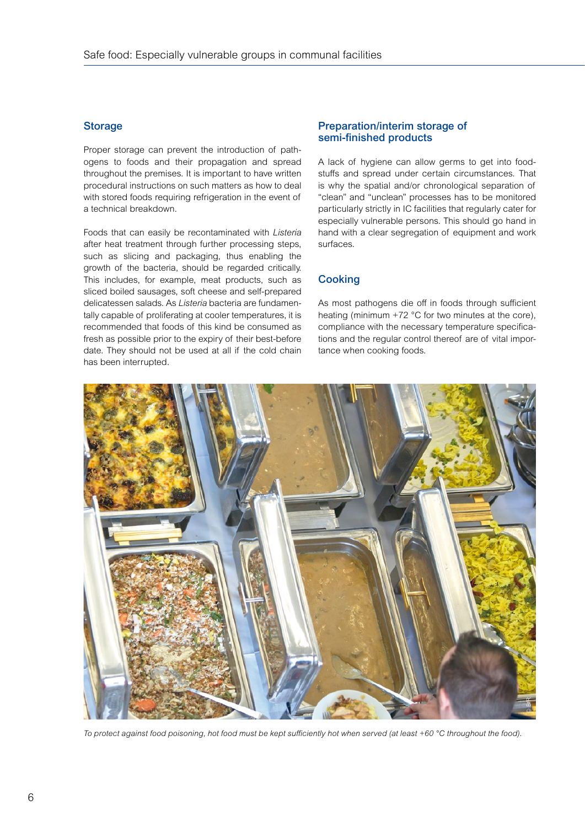## **Storage**

Proper storage can prevent the introduction of pathogens to foods and their propagation and spread throughout the premises. It is important to have written procedural instructions on such matters as how to deal with stored foods requiring refrigeration in the event of a technical breakdown.

Foods that can easily be recontaminated with *Listeria* after heat treatment through further processing steps, such as slicing and packaging, thus enabling the growth of the bacteria, should be regarded critically. This includes, for example, meat products, such as sliced boiled sausages, soft cheese and self-prepared delicatessen salads. As *Listeria* bacteria are fundamentally capable of proliferating at cooler temperatures, it is recommended that foods of this kind be consumed as fresh as possible prior to the expiry of their best-before date. They should not be used at all if the cold chain has been interrupted.

### Preparation/interim storage of semi-finished products

A lack of hygiene can allow germs to get into foodstuffs and spread under certain circumstances. That is why the spatial and/or chronological separation of "clean" and "unclean" processes has to be monitored particularly strictly in IC facilities that regularly cater for especially vulnerable persons. This should go hand in hand with a clear segregation of equipment and work surfaces.

## **Cooking**

As most pathogens die off in foods through sufficient heating (minimum +72 °C for two minutes at the core), compliance with the necessary temperature specifications and the regular control thereof are of vital importance when cooking foods.



*To protect against food poisoning, hot food must be kept sufficiently hot when served (at least +60 °C throughout the food).*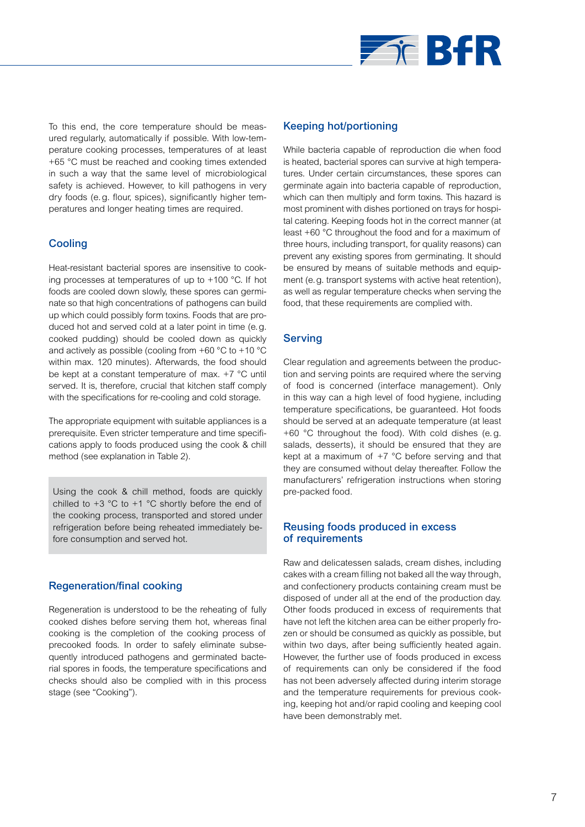

To this end, the core temperature should be measured regularly, automatically if possible. With low-temperature cooking processes, temperatures of at least +65 °C must be reached and cooking times extended in such a way that the same level of microbiological safety is achieved. However, to kill pathogens in very dry foods (e.g. flour, spices), significantly higher temperatures and longer heating times are required.

## **Cooling**

Heat-resistant bacterial spores are insensitive to cooking processes at temperatures of up to +100 °C. If hot foods are cooled down slowly, these spores can germinate so that high concentrations of pathogens can build up which could possibly form toxins. Foods that are produced hot and served cold at a later point in time (e.g. cooked pudding) should be cooled down as quickly and actively as possible (cooling from +60 °C to +10 °C within max. 120 minutes). Afterwards, the food should be kept at a constant temperature of max. +7 °C until served. It is, therefore, crucial that kitchen staff comply with the specifications for re-cooling and cold storage.

The appropriate equipment with suitable appliances is a prerequisite. Even stricter temperature and time specifications apply to foods produced using the cook & chill method (see explanation in Table 2).

Using the cook & chill method, foods are quickly chilled to  $+3$  °C to  $+1$  °C shortly before the end of the cooking process, transported and stored under refrigeration before being reheated immediately before consumption and served hot.

### Regeneration/final cooking

Regeneration is understood to be the reheating of fully cooked dishes before serving them hot, whereas final cooking is the completion of the cooking process of precooked foods. In order to safely eliminate subsequently introduced pathogens and germinated bacterial spores in foods, the temperature specifications and checks should also be complied with in this process stage (see "Cooking").

### Keeping hot/portioning

While bacteria capable of reproduction die when food is heated, bacterial spores can survive at high temperatures. Under certain circumstances, these spores can germinate again into bacteria capable of reproduction, which can then multiply and form toxins. This hazard is most prominent with dishes portioned on trays for hospital catering. Keeping foods hot in the correct manner (at least +60 °C throughout the food and for a maximum of three hours, including transport, for quality reasons) can prevent any existing spores from germinating. It should be ensured by means of suitable methods and equipment (e.g. transport systems with active heat retention), as well as regular temperature checks when serving the food, that these requirements are complied with.

## Serving

Clear regulation and agreements between the production and serving points are required where the serving of food is concerned (interface management). Only in this way can a high level of food hygiene, including temperature specifications, be guaranteed. Hot foods should be served at an adequate temperature (at least +60 °C throughout the food). With cold dishes (e.g. salads, desserts), it should be ensured that they are kept at a maximum of +7 °C before serving and that they are consumed without delay thereafter. Follow the manufacturers' refrigeration instructions when storing pre-packed food.

### Reusing foods produced in excess of requirements

Raw and delicatessen salads, cream dishes, including cakes with a cream filling not baked all the way through, and confectionery products containing cream must be disposed of under all at the end of the production day. Other foods produced in excess of requirements that have not left the kitchen area can be either properly frozen or should be consumed as quickly as possible, but within two days, after being sufficiently heated again. However, the further use of foods produced in excess of requirements can only be considered if the food has not been adversely affected during interim storage and the temperature requirements for previous cooking, keeping hot and/or rapid cooling and keeping cool have been demonstrably met.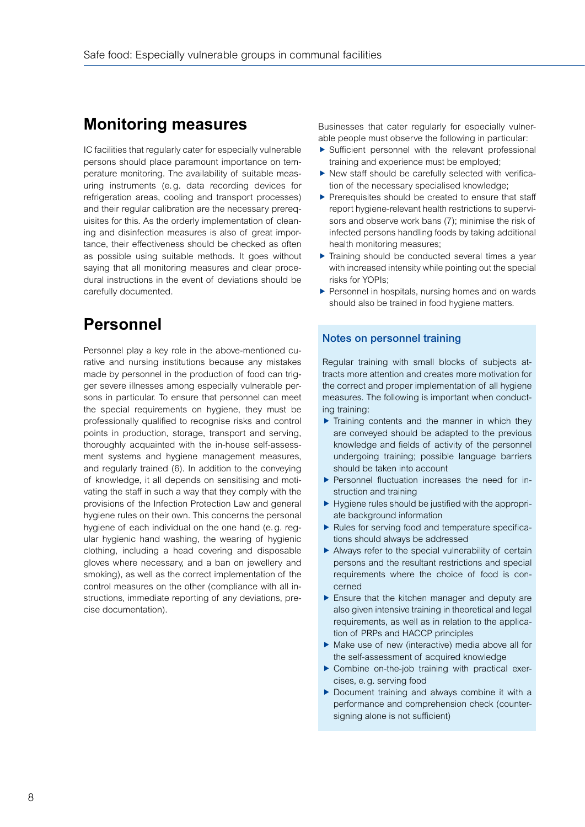## **Monitoring measures**

IC facilities that regularly cater for especially vulnerable persons should place paramount importance on temperature monitoring. The availability of suitable measuring instruments (e.g. data recording devices for refrigeration areas, cooling and transport processes) and their regular calibration are the necessary prerequisites for this. As the orderly implementation of cleaning and disinfection measures is also of great importance, their effectiveness should be checked as often as possible using suitable methods. It goes without saying that all monitoring measures and clear procedural instructions in the event of deviations should be carefully documented.

## **Personnel**

Personnel play a key role in the above-mentioned curative and nursing institutions because any mistakes made by personnel in the production of food can trigger severe illnesses among especially vulnerable persons in particular. To ensure that personnel can meet the special requirements on hygiene, they must be professionally qualified to recognise risks and control points in production, storage, transport and serving, thoroughly acquainted with the in-house self-assessment systems and hygiene management measures, and regularly trained (6). In addition to the conveying of knowledge, it all depends on sensitising and motivating the staff in such a way that they comply with the provisions of the Infection Protection Law and general hygiene rules on their own. This concerns the personal hygiene of each individual on the one hand (e.g. regular hygienic hand washing, the wearing of hygienic clothing, including a head covering and disposable gloves where necessary, and a ban on jewellery and smoking), as well as the correct implementation of the control measures on the other (compliance with all instructions, immediate reporting of any deviations, precise documentation).

Businesses that cater regularly for especially vulnerable people must observe the following in particular:

- $\triangleright$  Sufficient personnel with the relevant professional training and experience must be employed;
- $\blacktriangleright$  New staff should be carefully selected with verification of the necessary specialised knowledge;
- $\blacktriangleright$  Prerequisites should be created to ensure that staff report hygiene-relevant health restrictions to supervisors and observe work bans (7); minimise the risk of infected persons handling foods by taking additional health monitoring measures;
- $\blacktriangleright$  Training should be conducted several times a year with increased intensity while pointing out the special risks for YOPIs;
- $\blacktriangleright$  Personnel in hospitals, nursing homes and on wards should also be trained in food hygiene matters.

### Notes on personnel training

Regular training with small blocks of subjects attracts more attention and creates more motivation for the correct and proper implementation of all hygiene measures. The following is important when conducting training:

- $\blacktriangleright$  Training contents and the manner in which they are conveyed should be adapted to the previous knowledge and fields of activity of the personnel undergoing training; possible language barriers should be taken into account
- $\blacktriangleright$  Personnel fluctuation increases the need for instruction and training
- $\blacktriangleright$  Hygiene rules should be justified with the appropriate background information
- $\blacktriangleright$  Rules for serving food and temperature specifications should always be addressed
- $\blacktriangleright$  Always refer to the special vulnerability of certain persons and the resultant restrictions and special requirements where the choice of food is concerned
- $\blacktriangleright$  Ensure that the kitchen manager and deputy are also given intensive training in theoretical and legal requirements, as well as in relation to the application of PRPs and HACCP principles
- $\blacktriangleright$  Make use of new (interactive) media above all for the self-assessment of acquired knowledge
- $\triangleright$  Combine on-the-job training with practical exercises, e.g. serving food
- $\blacktriangleright$  Document training and always combine it with a performance and comprehension check (countersigning alone is not sufficient)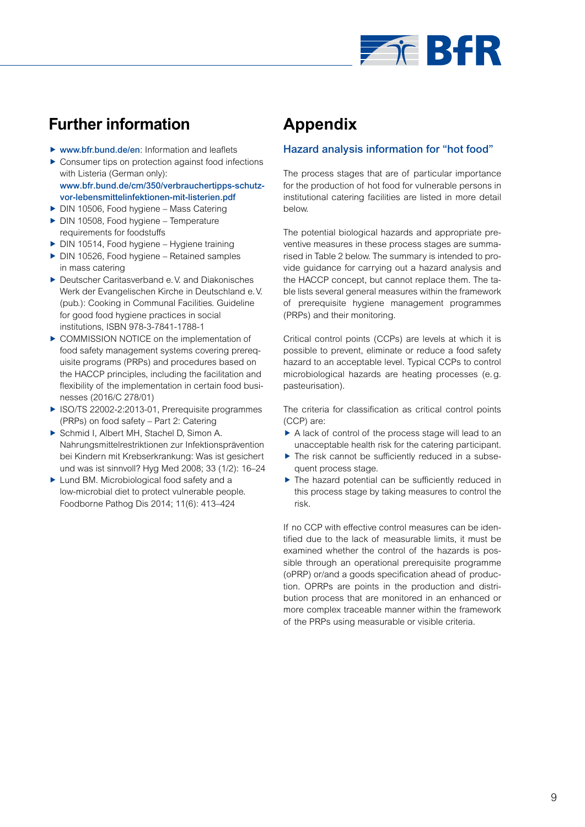

## **Further information**

- $\triangleright$  [www.bfr.bund.de/en](http://www.bfr.bund.de/en): Information and leaflets
- $\triangleright$  Consumer tips on protection against food infections with Listeria (German only): [www.bfr.bund.de/cm/350/verbrauchertipps-schutz](http://www.bfr.bund.de/cm/350/verbrauchertipps-schutz-vor-lebensmittelinfektionen-mit-listerien.pdf)[vor-lebensmittelinfektionen-mit-listerien.pdf](http://www.bfr.bund.de/cm/350/verbrauchertipps-schutz-vor-lebensmittelinfektionen-mit-listerien.pdf)
- DIN 10506, Food hygiene Mass Catering
- $\blacktriangleright$  DIN 10508, Food hygiene Temperature requirements for foodstuffs
- $\triangleright$  DIN 10514, Food hygiene Hygiene training
- $\triangleright$  DIN 10526, Food hygiene Retained samples in mass catering
- **F** Deutscher Caritasverband e.V. and Diakonisches Werk der Evangelischen Kirche in Deutschland e.V. (pub.): Cooking in Communal Facilities. Guideline for good food hygiene practices in social institutions, ISBN 978-3-7841-1788-1
- **F** COMMISSION NOTICE on the implementation of food safety management systems covering prerequisite programs (PRPs) and procedures based on the HACCP principles, including the facilitation and flexibility of the implementation in certain food businesses (2016/C 278/01)
- ▶ ISO/TS 22002-2:2013-01, Prerequisite programmes (PRPs) on food safety – Part 2: Catering
- ▶ Schmid I, Albert MH, Stachel D, Simon A. Nahrungsmittelrestriktionen zur Infektionsprävention bei Kindern mit Krebserkrankung: Was ist gesichert und was ist sinnvoll? Hyg Med 2008; 33 (1/2): 16–24
- $\blacktriangleright$  Lund BM. Microbiological food safety and a low-microbial diet to protect vulnerable people. Foodborne Pathog Dis 2014; 11(6): 413–424

## **Appendix**

## Hazard analysis information for "hot food"

The process stages that are of particular importance for the production of hot food for vulnerable persons in institutional catering facilities are listed in more detail below.

The potential biological hazards and appropriate preventive measures in these process stages are summarised in Table 2 below. The summary is intended to provide guidance for carrying out a hazard analysis and the HACCP concept, but cannot replace them. The table lists several general measures within the framework of prerequisite hygiene management programmes (PRPs) and their monitoring.

Critical control points (CCPs) are levels at which it is possible to prevent, eliminate or reduce a food safety hazard to an acceptable level. Typical CCPs to control microbiological hazards are heating processes (e.g. pasteurisation).

The criteria for classification as critical control points (CCP) are:

- $\blacktriangleright$  A lack of control of the process stage will lead to an unacceptable health risk for the catering participant.
- $\blacktriangleright$  The risk cannot be sufficiently reduced in a subsequent process stage.
- $\blacktriangleright$  The hazard potential can be sufficiently reduced in this process stage by taking measures to control the risk.

If no CCP with effective control measures can be identified due to the lack of measurable limits, it must be examined whether the control of the hazards is possible through an operational prerequisite programme (oPRP) or/and a goods specification ahead of production. OPRPs are points in the production and distribution process that are monitored in an enhanced or more complex traceable manner within the framework of the PRPs using measurable or visible criteria.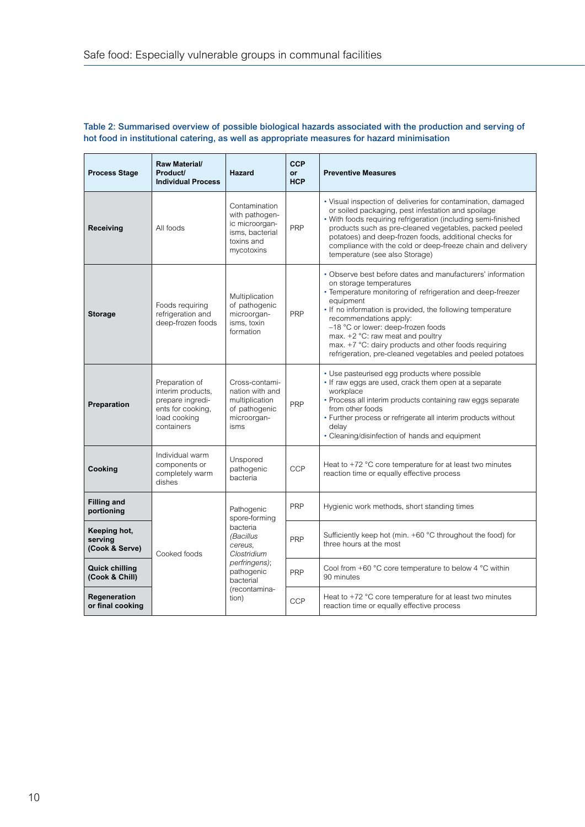| Raw Material/<br>Product/<br><b>Process Stage</b><br><b>Individual Process</b> |                                                                                                            | Hazard                                                                                                                                               | <b>CCP</b><br><b>or</b><br><b>HCP</b> | <b>Preventive Measures</b>                                                                                                                                                                                                                                                                                                                                                                                                                              |  |  |
|--------------------------------------------------------------------------------|------------------------------------------------------------------------------------------------------------|------------------------------------------------------------------------------------------------------------------------------------------------------|---------------------------------------|---------------------------------------------------------------------------------------------------------------------------------------------------------------------------------------------------------------------------------------------------------------------------------------------------------------------------------------------------------------------------------------------------------------------------------------------------------|--|--|
| All foods<br><b>Receiving</b>                                                  |                                                                                                            | Contamination<br>with pathogen-<br>ic microorgan-<br>isms, bacterial<br>toxins and<br>mycotoxins                                                     | <b>PRP</b>                            | • Visual inspection of deliveries for contamination, damaged<br>or soiled packaging, pest infestation and spoilage<br>. With foods requiring refrigeration (including semi-finished<br>products such as pre-cleaned vegetables, packed peeled<br>potatoes) and deep-frozen foods, additional checks for<br>compliance with the cold or deep-freeze chain and delivery<br>temperature (see also Storage)                                                 |  |  |
| <b>Storage</b>                                                                 | Foods requiring<br>refrigeration and<br>deep-frozen foods                                                  | Multiplication<br>of pathogenic<br>microorgan-<br>isms, toxin<br>formation                                                                           | <b>PRP</b>                            | • Observe best before dates and manufacturers' information<br>on storage temperatures<br>• Temperature monitoring of refrigeration and deep-freezer<br>equipment<br>. If no information is provided, the following temperature<br>recommendations apply:<br>-18 °C or lower: deep-frozen foods<br>max. +2 °C: raw meat and poultry<br>max. +7 °C: dairy products and other foods requiring<br>refrigeration, pre-cleaned vegetables and peeled potatoes |  |  |
| Preparation                                                                    | Preparation of<br>interim products,<br>prepare ingredi-<br>ents for cooking,<br>load cooking<br>containers | Cross-contami-<br>nation with and<br>multiplication<br>of pathogenic<br>microorgan-<br>isms                                                          | <b>PRP</b>                            | • Use pasteurised egg products where possible<br>• If raw eggs are used, crack them open at a separate<br>workplace<br>• Process all interim products containing raw eggs separate<br>from other foods<br>• Further process or refrigerate all interim products without<br>delay<br>• Cleaning/disinfection of hands and equipment                                                                                                                      |  |  |
| Cooking                                                                        | Individual warm<br>components or<br>completely warm<br>dishes                                              |                                                                                                                                                      | <b>CCP</b>                            | Heat to $+72$ °C core temperature for at least two minutes<br>reaction time or equally effective process                                                                                                                                                                                                                                                                                                                                                |  |  |
| <b>Filling and</b><br>portioning                                               |                                                                                                            | Pathogenic<br>spore-forming<br>bacteria<br>(Bacillus<br>cereus.<br>Clostridium<br>perfringens);<br>pathogenic<br>bacterial<br>(recontamina-<br>tion) | <b>PRP</b>                            | Hygienic work methods, short standing times                                                                                                                                                                                                                                                                                                                                                                                                             |  |  |
| Keeping hot,<br>serving<br>(Cook & Serve)                                      | Cooked foods                                                                                               |                                                                                                                                                      | <b>PRP</b>                            | Sufficiently keep hot (min. +60 °C throughout the food) for<br>three hours at the most                                                                                                                                                                                                                                                                                                                                                                  |  |  |
| <b>Quick chilling</b><br>(Cook & Chill)                                        |                                                                                                            |                                                                                                                                                      | <b>PRP</b>                            | Cool from $+60$ °C core temperature to below 4 °C within<br>90 minutes                                                                                                                                                                                                                                                                                                                                                                                  |  |  |
| Regeneration<br>or final cooking                                               |                                                                                                            |                                                                                                                                                      | <b>CCP</b>                            | Heat to $+72$ °C core temperature for at least two minutes<br>reaction time or equally effective process                                                                                                                                                                                                                                                                                                                                                |  |  |

### Table 2: Summarised overview of possible biological hazards associated with the production and serving of hot food in institutional catering, as well as appropriate measures for hazard minimisation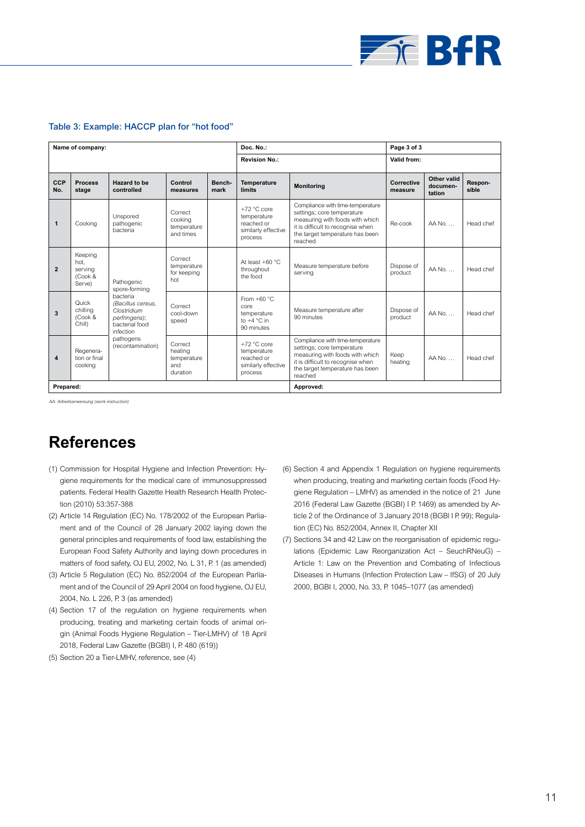

#### Table 3: Example: HACCP plan for "hot food"

| Name of company: |                                                 |                                                                                                                                                               |                                                      | Doc. No.:            |                                                                              | Page 3 of 3                                                                                                                                                                          |                       |                                   |                  |
|------------------|-------------------------------------------------|---------------------------------------------------------------------------------------------------------------------------------------------------------------|------------------------------------------------------|----------------------|------------------------------------------------------------------------------|--------------------------------------------------------------------------------------------------------------------------------------------------------------------------------------|-----------------------|-----------------------------------|------------------|
|                  |                                                 |                                                                                                                                                               |                                                      | <b>Revision No.:</b> |                                                                              | Valid from:                                                                                                                                                                          |                       |                                   |                  |
| CCP<br>No.       | <b>Process</b><br>stage                         | Hazard to be<br>controlled                                                                                                                                    | Control<br>measures                                  | Bench-<br>mark       | Temperature<br><b>limits</b>                                                 | <b>Monitoring</b>                                                                                                                                                                    | Corrective<br>measure | Other valid<br>documen-<br>tation | Respon-<br>sible |
| $\mathbf{1}$     | Cooking                                         | Unspored<br>pathogenic<br>bacteria                                                                                                                            | Correct<br>cooking<br>temperature<br>and times       |                      | $+72 °C$ core<br>temperature<br>reached or<br>similarly effective<br>process | Compliance with time-temperature<br>settings; core temperature<br>measuring with foods with which<br>it is difficult to recognise when<br>the target temperature has been<br>reached | Re-cook               | AA No                             | Head chef        |
| $\overline{2}$   | Keeping<br>hot.<br>servina<br>(Cook &<br>Serve) | Pathogenic<br>spore-forming<br>bacteria<br>(Bacillus cereus.<br>Clostridium<br>perfringens);<br>bacterial food<br>infection<br>pathogens<br>(recontamination) | Correct<br>temperature<br>for keeping<br>hot         |                      | At least $+60 °C$<br>throughout<br>the food                                  | Measure temperature before<br>serving                                                                                                                                                | Dispose of<br>product | $AA$ No. $\ldots$                 | Head chef        |
| 3                | Quick<br>chillina<br>(Cook &<br>Chill)          |                                                                                                                                                               | Correct<br>cool-down<br>speed                        |                      | From $+60 °C$<br>core<br>temperature<br>to $+4^{\circ}$ C in<br>90 minutes   | Measure temperature after<br>90 minutes                                                                                                                                              | Dispose of<br>product | AA No                             | Head chef        |
| 4                | Regenera-<br>tion or final<br>cooking           |                                                                                                                                                               | Correct<br>heating<br>temperature<br>and<br>duration |                      | $+72 °C$ core<br>temperature<br>reached or<br>similarly effective<br>process | Compliance with time-temperature<br>settings; core temperature<br>measuring with foods with which<br>it is difficult to recognise when<br>the target temperature has been<br>reached | Keep<br>heating       | AA No                             | Head chef        |
| Prepared:        |                                                 |                                                                                                                                                               |                                                      |                      |                                                                              | Approved:                                                                                                                                                                            |                       |                                   |                  |

*AA: Arbeitsanweisung (work instruction)*

## **References**

- (1) Commission for Hospital Hygiene and Infection Prevention: Hygiene requirements for the medical care of immunosuppressed patients. Federal Health Gazette Health Research Health Protection (2010) 53:357-388
- (2) Article 14 Regulation (EC) No. 178/2002 of the European Parliament and of the Council of 28 January 2002 laying down the general principles and requirements of food law, establishing the European Food Safety Authority and laying down procedures in matters of food safety, OJ EU, 2002, No. L 31, P. 1 (as amended)
- (3) Article 5 Regulation (EC) No. 852/2004 of the European Parliament and of the Council of 29 April 2004 on food hygiene, OJ EU, 2004, No. L 226, P. 3 (as amended)
- (4) Section 17 of the regulation on hygiene requirements when producing, treating and marketing certain foods of animal origin (Animal Foods Hygiene Regulation – Tier-LMHV) of 18 April 2018, Federal Law Gazette (BGBI) I, P. 480 (619))
- (5) Section 20 a Tier-LMHV, reference, see (4)
- (6) Section 4 and Appendix 1 Regulation on hygiene requirements when producing, treating and marketing certain foods (Food Hygiene Regulation – LMHV) as amended in the notice of 21 June 2016 (Federal Law Gazette (BGBI) I P. 1469) as amended by Article 2 of the Ordinance of 3 January 2018 (BGBl I P. 99); Regulation (EC) No. 852/2004, Annex II, Chapter XII
- (7) Sections 34 and 42 Law on the reorganisation of epidemic regulations (Epidemic Law Reorganization Act – SeuchRNeuG) – Article 1: Law on the Prevention and Combating of Infectious Diseases in Humans (Infection Protection Law – IfSG) of 20 July 2000, BGBI I, 2000, No. 33, P. 1045–1077 (as amended)